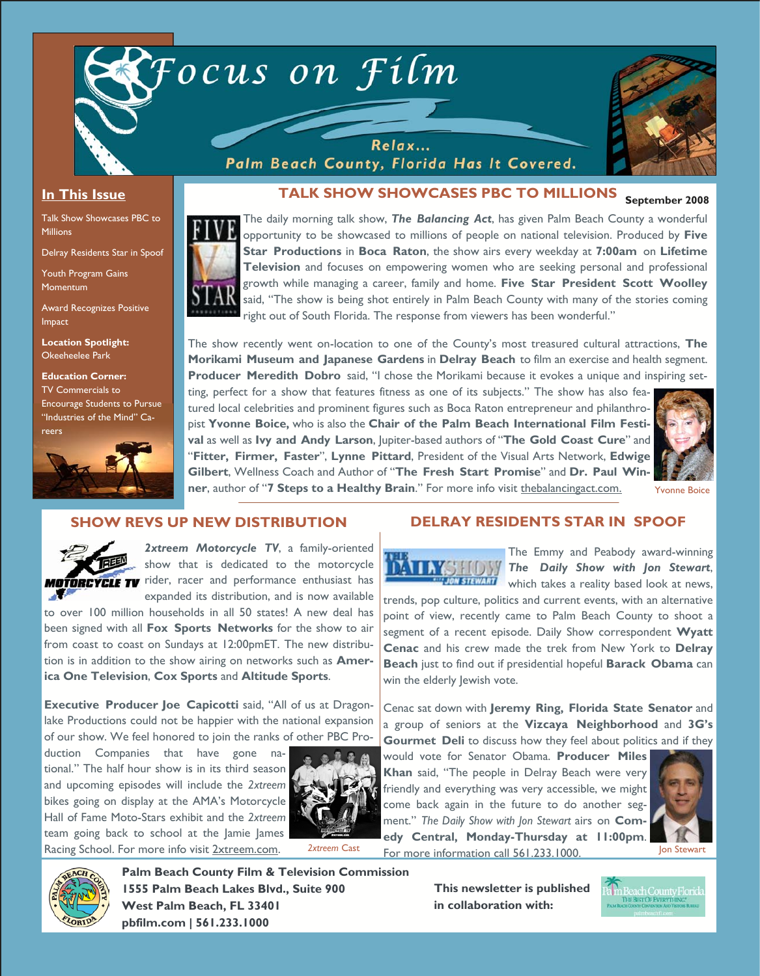

### **In This Issue**

Talk Show Showcases PBC to Millions

Delray Residents Star in Spoof

Youth Program Gains Momentum

Award Recognizes Positive Impact

**Location Spotlight:**  Okeeheelee Park

**Education Corner:**  TV Commercials to Encourage Students to Pursue "Industries of the Mind" Careers



# TALK SHOW SHOWCASES PBC TO MILLIONS **September 2008**



Focus on Film

The daily morning talk show, *The Balancing Act*, has given Palm Beach County a wonderful opportunity to be showcased to millions of people on national television. Produced by **Five Star Productions** in **Boca Raton**, the show airs every weekday at **7:00am** on **Lifetime Television** and focuses on empowering women who are seeking personal and professional growth while managing a career, family and home. **Five Star President Scott Woolley** said, "The show is being shot entirely in Palm Beach County with many of the stories coming right out of South Florida. The response from viewers has been wonderful."

The show recently went on-location to one of the County's most treasured cultural attractions, **The Morikami Museum and Japanese Gardens** in **Delray Beach** to film an exercise and health segment. **Producer Meredith Dobro** said, "I chose the Morikami because it evokes a unique and inspiring set-

ting, perfect for a show that features fitness as one of its subjects." The show has also featured local celebrities and prominent figures such as Boca Raton entrepreneur and philanthropist **Yvonne Boice,** who is also the **Chair of the Palm Beach International Film Festival** as well as **Ivy and Andy Larson**, Jupiter-based authors of "**The Gold Coast Cure**" and "**Fitter, Firmer, Faster**", **Lynne Pittard**, President of the Visual Arts Network, **Edwige Gilbert**, Wellness Coach and Author of "**The Fresh Start Promise**" and **Dr. Paul Winner**, author of "**7 Steps to a Healthy Brain**." For more info visit thebalancingact.com.

Relax...



#### Yvonne Boice

#### **SHOW REVS UP NEW DISTRIBUTION**



*2xtreem Motorcycle TV*, a family-oriented show that is dedicated to the motorcycle **MOTORCYCLE TV** rider, racer and performance enthusiast has expanded its distribution, and is now available

to over 100 million households in all 50 states! A new deal has been signed with all **Fox Sports Networks** for the show to air from coast to coast on Sundays at 12:00pmET. The new distribution is in addition to the show airing on networks such as **America One Television**, **Cox Sports** and **Altitude Sports**.

**Executive Producer Joe Capicotti** said, "All of us at Dragonlake Productions could not be happier with the national expansion of our show. We feel honored to join the ranks of other PBC Pro-

duction Companies that have gone national." The half hour show is in its third season and upcoming episodes will include the *2xtreem* bikes going on display at the AMA's Motorcycle Hall of Fame Moto-Stars exhibit and the *2xtreem* team going back to school at the Jamie James Racing School. For more info visit 2xtreem.com.



*2xtreem* Cast

### **DELRAY RESIDENTS STAR IN SPOOF**

The Emmy and Peabody award-winning **The Daily Show with Jon Stewart, WHIGH STEWART Which takes a reality based look at news,** 

trends, pop culture, politics and current events, with an alternative point of view, recently came to Palm Beach County to shoot a segment of a recent episode. Daily Show correspondent **Wyatt Cenac** and his crew made the trek from New York to **Delray Beach** just to find out if presidential hopeful **Barack Obama** can win the elderly lewish vote.

Cenac sat down with **Jeremy Ring, Florida State Senator** and a group of seniors at the **Vizcaya Neighborhood** and **3G's Gourmet Deli** to discuss how they feel about politics and if they

would vote for Senator Obama. **Producer Miles Khan** said, "The people in Delray Beach were very friendly and everything was very accessible, we might come back again in the future to do another segment." *The Daily Show with Jon Stewart* airs on **Comedy Central, Monday-Thursday at 11:00pm**. For more information call 561.233.1000.





**Palm Beach County Film & Television Commission 1555 Palm Beach Lakes Blvd., Suite 900 West Palm Beach, FL 33401 pbfilm.com | 561.233.1000** 

**This newsletter is published in collaboration with:**

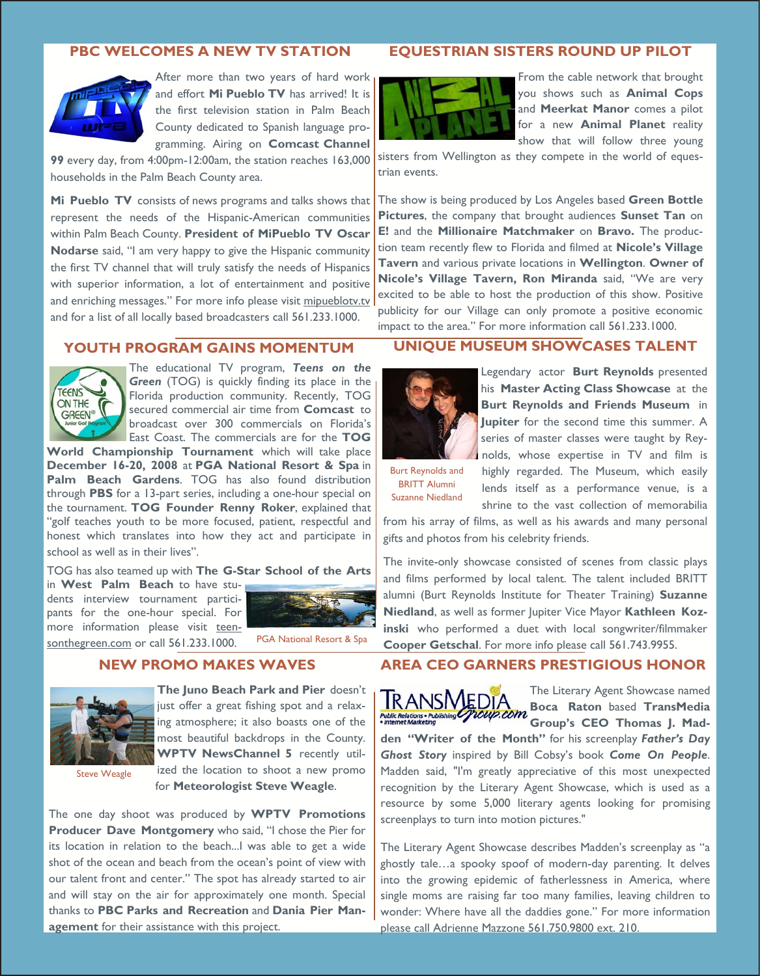#### **PBC WELCOMES A NEW TV STATION**



After more than two years of hard work and effort **Mi Pueblo TV** has arrived! It is the first television station in Palm Beach County dedicated to Spanish language programming. Airing on **Comcast Channel** 

**99** every day, from 4:00pm-12:00am, the station reaches 163,000 households in the Palm Beach County area.

**Mi Pueblo TV** consists of news programs and talks shows that represent the needs of the Hispanic-American communities within Palm Beach County. **President of MiPueblo TV Oscar Nodarse** said, "I am very happy to give the Hispanic community the first TV channel that will truly satisfy the needs of Hispanics with superior information, a lot of entertainment and positive and enriching messages." For more info please visit mipueblotv.tv and for a list of all locally based broadcasters call 561.233.1000.

### **EQUESTRIAN SISTERS ROUND UP PILOT**



From the cable network that brought you shows such as **Animal Cops** and **Meerkat Manor** comes a pilot for a new **Animal Planet** reality show that will follow three young

sisters from Wellington as they compete in the world of equestrian events.

The show is being produced by Los Angeles based **Green Bottle Pictures**, the company that brought audiences **Sunset Tan** on **E!** and the **Millionaire Matchmaker** on **Bravo.** The production team recently flew to Florida and filmed at **Nicole's Village Tavern** and various private locations in **Wellington**. **Owner of Nicole's Village Tavern, Ron Miranda** said, "We are very excited to be able to host the production of this show. Positive publicity for our Village can only promote a positive economic impact to the area." For more information call 561.233.1000.

#### **YOUTH PROGRAM GAINS MOMENTUM**



The educational TV program, *Teens on the Green* (TOG) is quickly finding its place in the Florida production community. Recently, TOG secured commercial air time from **Comcast** to broadcast over 300 commercials on Florida's East Coast. The commercials are for the **TOG** 

**World Championship Tournament** which will take place **December 16-20, 2008** at **PGA National Resort & Spa** in **Palm Beach Gardens**. TOG has also found distribution through **PBS** for a 13-part series, including a one-hour special on the tournament. **TOG Founder Renny Roker**, explained that "golf teaches youth to be more focused, patient, respectful and honest which translates into how they act and participate in school as well as in their lives".

TOG has also teamed up with **The G-Star School of the Arts**  in **West Palm Beach** to have stu-

dents interview tournament participants for the one-hour special. For more information please visit teensonthegreen.com or call 561.233.1000.



PGA National Resort & Spa

#### **NEW PROMO MAKES WAVES**



**The Juno Beach Park and Pier** doesn't just offer a great fishing spot and a relaxing atmosphere; it also boasts one of the most beautiful backdrops in the County. **WPTV NewsChannel 5** recently utilized the location to shoot a new promo

Steve Weagle

for **Meteorologist Steve Weagle**.

The one day shoot was produced by **WPTV Promotions Producer Dave Montgomery** who said, "I chose the Pier for its location in relation to the beach...I was able to get a wide shot of the ocean and beach from the ocean's point of view with our talent front and center." The spot has already started to air and will stay on the air for approximately one month. Special thanks to **PBC Parks and Recreation** and **Dania Pier Management** for their assistance with this project.

### **UNIQUE MUSEUM SHOWCASES TALENT**



Legendary actor **Burt Reynolds** presented his **Master Acting Class Showcase** at the **Burt Reynolds and Friends Museum** in **Jupiter** for the second time this summer. A series of master classes were taught by Reynolds, whose expertise in TV and film is

Burt Reynolds and BRITT Alumni Suzanne Niedland

highly regarded. The Museum, which easily lends itself as a performance venue, is a shrine to the vast collection of memorabilia

from his array of films, as well as his awards and many personal gifts and photos from his celebrity friends.

The invite-only showcase consisted of scenes from classic plays and films performed by local talent. The talent included BRITT alumni (Burt Reynolds Institute for Theater Training) **Suzanne Niedland**, as well as former Jupiter Vice Mayor **Kathleen Kozinski** who performed a duet with local songwriter/filmmaker **Cooper Getschal**. For more info please call 561.743.9955.

### **AREA CEO GARNERS PRESTIGIOUS HONOR**



The Literary Agent Showcase named **Boca Raton** based **TransMedia Fublic Relations - Publishing Williams COM BULG INSURGED Thomas** J. Mad-

**den "Writer of the Month"** for his screenplay *Father's Day Ghost Story* inspired by Bill Cobsy's book *Come On People*. Madden said, "I'm greatly appreciative of this most unexpected recognition by the Literary Agent Showcase, which is used as a resource by some 5,000 literary agents looking for promising screenplays to turn into motion pictures."

The Literary Agent Showcase describes Madden's screenplay as "a ghostly tale…a spooky spoof of modern-day parenting. It delves into the growing epidemic of fatherlessness in America, where single moms are raising far too many families, leaving children to wonder: Where have all the daddies gone." For more information please call Adrienne Mazzone 561.750.9800 ext. 210.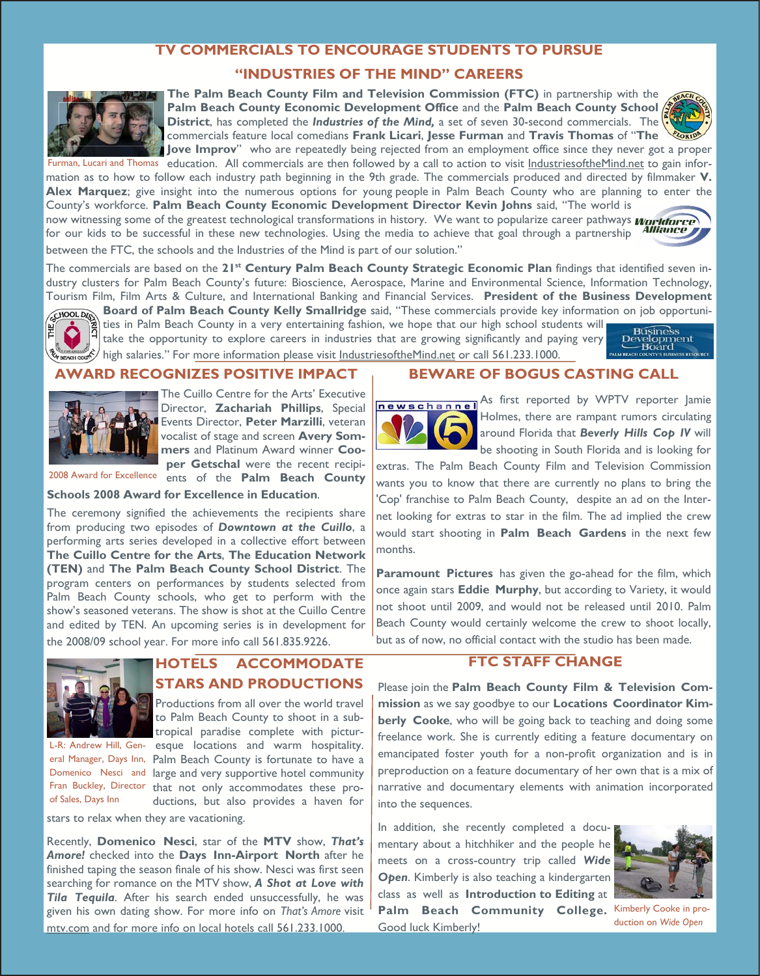### **TV COMMERCIALS TO ENCOURAGE STUDENTS TO PURSUE**

### **"INDUSTRIES OF THE MIND" CAREERS**



**The Palm Beach County Film and Television Commission (FTC)** in partnership with the **Palm Beach County Economic Development Office** and the **Palm Beach County School District**, has completed the *Industries of the Mind,* a set of seven 30-second commercials. The commercials feature local comedians **Frank Licari**, **Jesse Furman** and **Travis Thomas** of "**The Jove Improv**" who are repeatedly being rejected from an employment office since they never got a proper



Furman, Lucari and Thomas education. All commercials are then followed by a call to action to visit *IndustriesoftheMind.net* to gain information as to how to follow each industry path beginning in the 9th grade. The commercials produced and directed by filmmaker **V. Alex Marquez**; give insight into the numerous options for young people in Palm Beach County who are planning to enter the County's workforce. **Palm Beach County Economic Development Director Kevin Johns** said, "The world is now witnessing some of the greatest technological transformations in history. We want to popularize career pathways *workuree* 

Alliance for our kids to be successful in these new technologies. Using the media to achieve that goal through a partnership between the FTC, the schools and the Industries of the Mind is part of our solution."

The commercials are based on the 21<sup>st</sup> Century Palm Beach County Strategic Economic Plan findings that identified seven industry clusters for Palm Beach County's future: Bioscience, Aerospace, Marine and Environmental Science, Information Technology, Tourism Film, Film Arts & Culture, and International Banking and Financial Services. **President of the Business Development** 



**Board of Palm Beach County Kelly Smallridge** said, "These commercials provide key information on job opportunities in Palm Beach County in a very entertaining fashion, we hope that our high school students will be be part Board of Palm Beach County Neur Strian 1986 said, these connections of school students will also the school students will take the opportunity to explore careers in industries that are growing significantly and paying very  $\frac{\text{NSE}(\text{NSE})}{\text{Res}(\text{NSE})}$ high salaries." For more information please visit IndustriesoftheMind.net or call 561.233.1000.



### **AWARD RECOGNIZES POSITIVE IMPACT**



The Cuillo Centre for the Arts' Executive Director, **Zachariah Phillips**, Special Events Director, **Peter Marzilli**, veteran vocalist of stage and screen **Avery Sommers** and Platinum Award winner **Cooper Getschal** were the recent recipi-

2008 Award for Excellence ents of the **Palm Beach County** 

**Schools 2008 Award for Excellence in Education**.

The ceremony signified the achievements the recipients share from producing two episodes of *Downtown at the Cuillo*, a performing arts series developed in a collective effort between **The Cuillo Centre for the Arts**, **The Education Network (TEN)** and **The Palm Beach County School District**. The program centers on performances by students selected from Palm Beach County schools, who get to perform with the show's seasoned veterans. The show is shot at the Cuillo Centre and edited by TEN. An upcoming series is in development for the 2008/09 school year. For more info call 561.835.9226.



of Sales, Days Inn

## **HOTELS ACCOMMODATE STARS AND PRODUCTIONS**

Productions from all over the world travel to Palm Beach County to shoot in a subtropical paradise complete with pictur-L-R: Andrew Hill, Gen- esque locations and warm hospitality. eral Manager, Days Inn, Palm Beach County is fortunate to have a Domenico Nesci and large and very supportive hotel community Fran Buckley, Director that not only accommodates these productions, but also provides a haven for

stars to relax when they are vacationing.

Recently, **Domenico Nesci**, star of the **MTV** show, *That's Amore!* checked into the **Days Inn-Airport North** after he finished taping the season finale of his show. Nesci was first seen searching for romance on the MTV show, *A Shot at Love with Tila Tequila*. After his search ended unsuccessfully, he was given his own dating show. For more info on *That's Amore* visit mtv.com and for more info on local hotels call 561.233.1000.

### **BEWARE OF BOGUS CASTING CALL**



newschannel As first reported by WPTV reporter Jamie Holmes, there are rampant rumors circulating around Florida that *Beverly Hills Cop IV* will be shooting in South Florida and is looking for

extras. The Palm Beach County Film and Television Commission wants you to know that there are currently no plans to bring the 'Cop' franchise to Palm Beach County, despite an ad on the Internet looking for extras to star in the film. The ad implied the crew would start shooting in **Palm Beach Gardens** in the next few months.

**Paramount Pictures** has given the go-ahead for the film, which once again stars **Eddie Murphy**, but according to Variety, it would not shoot until 2009, and would not be released until 2010. Palm Beach County would certainly welcome the crew to shoot locally, but as of now, no official contact with the studio has been made.

### **FTC STAFF CHANGE**

Please join the **Palm Beach County Film & Television Commission** as we say goodbye to our **Locations Coordinator Kimberly Cooke**, who will be going back to teaching and doing some freelance work. She is currently editing a feature documentary on emancipated foster youth for a non-profit organization and is in preproduction on a feature documentary of her own that is a mix of narrative and documentary elements with animation incorporated into the sequences.

In addition, she recently completed a documentary about a hitchhiker and the people he meets on a cross-country trip called *Wide Open*. Kimberly is also teaching a kindergarten class as well as **Introduction to Editing** at Palm Beach Community College. Kimberly Cooke in pro-Good luck Kimberly!



duction on *Wide Open*